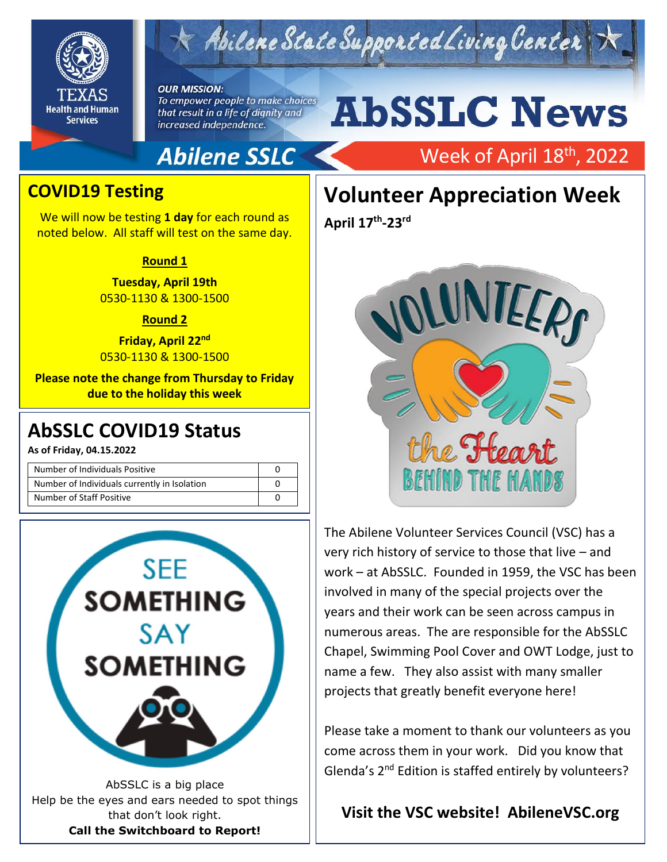

## Abilene State Supported Living Center

#### **OUR MISSION:**

To empower people to make choices that result in a life of dignity and increased independence.

# **AbSSLC News**

## **Abilene SSLC**

## Week of April 18<sup>th</sup>, 2022

### **COVID19 Testing**

We will now be testing **1 day** for each round as noted below. All staff will test on the same day.

#### **Round 1**

**Tuesday, April 19th** 0530-1130 & 1300-1500

#### **Round 2**

**Friday, April 22nd** 0530-1130 & 1300-1500

**Please note the change from Thursday to Friday due to the holiday this week**

**As of Friday, 04.15.2022**

| Number of Individuals Positive               |  |
|----------------------------------------------|--|
| Number of Individuals currently in Isolation |  |
| Number of Staff Positive                     |  |



that don't look right. **Call the Switchboard to Report!**

## **Volunteer Appreciation Week**

**April 17 th -23 rd**



The Abilene Volunteer Services Council (VSC) has a very rich history of service to those that live – and work – at AbSSLC. Founded in 1959, the VSC has been involved in many of the special projects over the years and their work can be seen across campus in numerous areas. The are responsible for the AbSSLC Chapel, Swimming Pool Cover and OWT Lodge, just to name a few. They also assist with many smaller projects that greatly benefit everyone here!

Please take a moment to thank our volunteers as you come across them in your work. Did you know that Glenda's 2nd Edition is staffed entirely by volunteers?

### **Visit the VSC website! AbileneVSC.org**